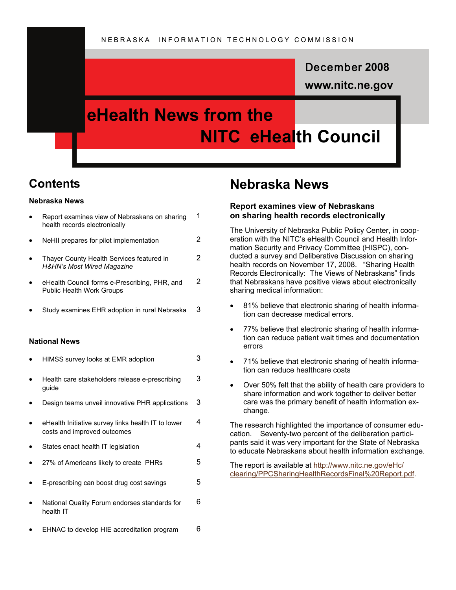### December **2008**

**www.nitc.ne.gov** 

### **eHealth News from the NITC eHealth Council**

### **Contents**

#### **Nebraska News**

|                      | Report examines view of Nebraskans on sharing<br>health records electronically     | 1 |
|----------------------|------------------------------------------------------------------------------------|---|
|                      | NeHII prepares for pilot implementation                                            | 2 |
|                      | Thayer County Health Services featured in<br><b>H&amp;HN's Most Wired Magazine</b> | 2 |
|                      | eHealth Council forms e-Prescribing, PHR, and<br><b>Public Health Work Groups</b>  | 2 |
|                      | Study examines EHR adoption in rural Nebraska                                      | 3 |
| <b>National News</b> |                                                                                    |   |
|                      | HIMSS survey looks at EMR adoption                                                 | 3 |
|                      | Health care stakeholders release e-prescribing<br>guide                            | 3 |
|                      | Design teams unveil innovative PHR applications                                    | 3 |

• Report examines view of Nebraskans on sharing

- eHealth Initiative survey links health IT to lower costs and improved outcomes 4
- States enact health IT legislation 4
- 27% of Americans likely to create PHRs 5
- E-prescribing can boost drug cost savings 5
- National Quality Forum endorses standards for health IT 6
- EHNAC to develop HIE accreditation program 6

### **Nebraska News**

#### **Report examines view of Nebraskans on sharing health records electronically**

The University of Nebraska Public Policy Center, in cooperation with the NITC's eHealth Council and Health Information Security and Privacy Committee (HISPC), conducted a survey and Deliberative Discussion on sharing health records on November 17, 2008. "Sharing Health Records Electronically: The Views of Nebraskans" finds that Nebraskans have positive views about electronically sharing medical information:

- 81% believe that electronic sharing of health information can decrease medical errors.
- 77% believe that electronic sharing of health information can reduce patient wait times and documentation errors
- 71% believe that electronic sharing of health information can reduce healthcare costs
- Over 50% felt that the ability of health care providers to share information and work together to deliver better care was the primary benefit of health information exchange.

The research highlighted the importance of consumer education. Seventy-two percent of the deliberation participants said it was very important for the State of Nebraska to educate Nebraskans about health information exchange.

The report is available at [http://www.nitc.ne.gov/eHc/](http://www.nitc.ne.gov/eHc/clearing/PPCSharingHealthRecordsFinal%20Report.pdf) [clearing/PPCSharingHealthRecordsFinal%20Report.pdf](http://www.nitc.ne.gov/eHc/clearing/PPCSharingHealthRecordsFinal%20Report.pdf).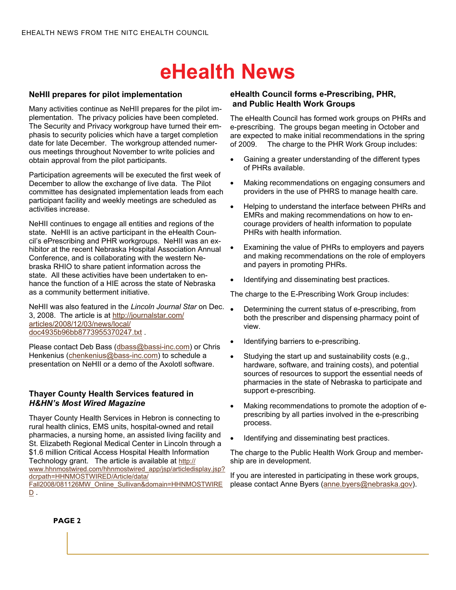#### **NeHII prepares for pilot implementation**

Many activities continue as NeHII prepares for the pilot implementation. The privacy policies have been completed. The Security and Privacy workgroup have turned their emphasis to security policies which have a target completion date for late December. The workgroup attended numerous meetings throughout November to write policies and obtain approval from the pilot participants.

Participation agreements will be executed the first week of December to allow the exchange of live data. The Pilot committee has designated implementation leads from each participant facility and weekly meetings are scheduled as activities increase.

NeHII continues to engage all entities and regions of the state. NeHII is an active participant in the eHealth Council's ePrescribing and PHR workgroups. NeHII was an exhibitor at the recent Nebraska Hospital Association Annual Conference, and is collaborating with the western Nebraska RHIO to share patient information across the state. All these activities have been undertaken to enhance the function of a HIE across the state of Nebraska as a community betterment initiative.

NeHII was also featured in the *Lincoln Journal Star* on Dec. 3, 2008. The article is at [http://journalstar.com/](http://journalstar.com/articles/2008/12/03/news/local/doc4935b96bb8773955370247.txt) [articles/2008/12/03/news/local/](http://journalstar.com/articles/2008/12/03/news/local/doc4935b96bb8773955370247.txt) [doc4935b96bb8773955370247.txt](http://journalstar.com/articles/2008/12/03/news/local/doc4935b96bb8773955370247.txt) .

Please contact Deb Bass ([dbass@bassi-inc.com\)](mailto:dbass@bassi-inc.com) or Chris Henkenius [\(chenkenius@bass-inc.com\)](mailto:chenkenius@bass-inc.com) to schedule a presentation on NeHII or a demo of the Axolotl software.

#### **Thayer County Health Services featured in**  *H&HN's Most Wired Magazine*

Thayer County Health Services in Hebron is connecting to rural health clinics, EMS units, hospital-owned and retail pharmacies, a nursing home, an assisted living facility and St. Elizabeth Regional Medical Center in Lincoln through a \$1.6 million Critical Access Hospital Health Information Technology grant. The article is available at [http://](http://www.hhnmostwired.com/hhnmostwired_app/jsp/articledisplay.jsp?dcrpath=HHNMOSTWIRED/Article/data/Fall2008/081126MW_Online_Sullivan&domain=HHNMOSTWIRED) [www.hhnmostwired.com/hhnmostwired\\_app/jsp/articledisplay.jsp?](http://www.hhnmostwired.com/hhnmostwired_app/jsp/articledisplay.jsp?dcrpath=HHNMOSTWIRED/Article/data/Fall2008/081126MW_Online_Sullivan&domain=HHNMOSTWIRED) [dcrpath=HHNMOSTWIRED/Article/data/](http://www.hhnmostwired.com/hhnmostwired_app/jsp/articledisplay.jsp?dcrpath=HHNMOSTWIRED/Article/data/Fall2008/081126MW_Online_Sullivan&domain=HHNMOSTWIRED) [Fall2008/081126MW\\_Online\\_Sullivan&domain=HHNMOSTWIRE](http://www.hhnmostwired.com/hhnmostwired_app/jsp/articledisplay.jsp?dcrpath=HHNMOSTWIRED/Article/data/Fall2008/081126MW_Online_Sullivan&domain=HHNMOSTWIRED)  $D$  .

#### **eHealth Council forms e-Prescribing, PHR, and Public Health Work Groups**

The eHealth Council has formed work groups on PHRs and e-prescribing. The groups began meeting in October and are expected to make initial recommendations in the spring of 2009. The charge to the PHR Work Group includes:

- Gaining a greater understanding of the different types of PHRs available.
- Making recommendations on engaging consumers and providers in the use of PHRS to manage health care.
- Helping to understand the interface between PHRs and EMRs and making recommendations on how to encourage providers of health information to populate PHRs with health information.
- Examining the value of PHRs to employers and payers and making recommendations on the role of employers and payers in promoting PHRs.
- Identifying and disseminating best practices.

The charge to the E-Prescribing Work Group includes:

- Determining the current status of e-prescribing, from both the prescriber and dispensing pharmacy point of view.
- Identifying barriers to e-prescribing.
- Studying the start up and sustainability costs (e.g., hardware, software, and training costs), and potential sources of resources to support the essential needs of pharmacies in the state of Nebraska to participate and support e-prescribing.
- Making recommendations to promote the adoption of eprescribing by all parties involved in the e-prescribing process.
- Identifying and disseminating best practices.

The charge to the Public Health Work Group and membership are in development.

If you are interested in participating in these work groups, please contact Anne Byers [\(anne.byers@nebraska.gov](mailto:anne.byers@nebraska.gov)).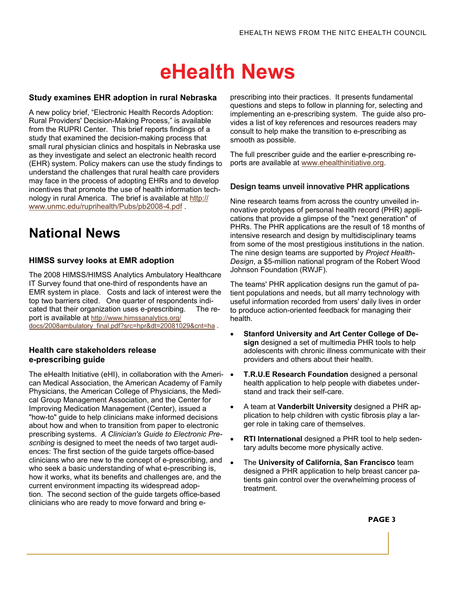#### **Study examines EHR adoption in rural Nebraska**

A new policy brief, "Electronic Health Records Adoption: Rural Providers' Decision-Making Process," is available from the RUPRI Center. This brief reports findings of a study that examined the decision-making process that small rural physician clinics and hospitals in Nebraska use as they investigate and select an electronic health record (EHR) system. Policy makers can use the study findings to understand the challenges that rural health care providers may face in the process of adopting EHRs and to develop incentives that promote the use of health information technology in rural America. The brief is available at [http://](http://www.unmc.edu/ruprihealth/Pubs/pb2008-4.pdf) [www.unmc.edu/ruprihealth/Pubs/pb2008-4.pdf](http://www.unmc.edu/ruprihealth/Pubs/pb2008-4.pdf) .

### **National News**

### **HIMSS survey looks at EMR adoption**

The 2008 HIMSS/HIMSS Analytics Ambulatory Healthcare IT Survey found that one-third of respondents have an EMR system in place. Costs and lack of interest were the top two barriers cited. One quarter of respondents indicated that their organization uses e-prescribing. The report is available at [http://www.himssanalytics.org/](http://www.himssanalytics.org/docs/2008ambulatory_final.pdf?src=hpr&dt=20081029&cnt=ha) [docs/2008ambulatory\\_final.pdf?src=hpr&dt=20081029&cnt=ha](http://www.himssanalytics.org/docs/2008ambulatory_final.pdf?src=hpr&dt=20081029&cnt=ha) .

#### **Health care stakeholders release e-prescribing guide**

The eHealth Initiative (eHI), in collaboration with the Ameri-  $\bullet$ can Medical Association, the American Academy of Family Physicians, the American College of Physicians, the Medical Group Management Association, and the Center for Improving Medication Management (Center), issued a "how-to" guide to help clinicians make informed decisions about how and when to transition from paper to electronic prescribing systems. *A Clinician's Guide to Electronic Prescribing* is designed to meet the needs of two target audiences: The first section of the guide targets office-based clinicians who are new to the concept of e-prescribing, and who seek a basic understanding of what e-prescribing is, how it works, what its benefits and challenges are, and the current environment impacting its widespread adoption. The second section of the guide targets office-based clinicians who are ready to move forward and bring e-

prescribing into their practices. It presents fundamental questions and steps to follow in planning for, selecting and implementing an e-prescribing system. The guide also provides a list of key references and resources readers may consult to help make the transition to e-prescribing as smooth as possible.

The full prescriber guide and the earlier e-prescribing reports are available at [www.ehealthinitiative.org](http://www.ehealthinitiative.org/).

#### **Design teams unveil innovative PHR applications**

Nine research teams from across the country unveiled innovative prototypes of personal health record (PHR) applications that provide a glimpse of the "next generation" of PHRs. The PHR applications are the result of 18 months of intensive research and design by multidisciplinary teams from some of the most prestigious institutions in the nation. The nine design teams are supported by *Project Health-Design*, a \$5-million national program of the Robert Wood Johnson Foundation (RWJF).

The teams' PHR application designs run the gamut of patient populations and needs, but all marry technology with useful information recorded from users' daily lives in order to produce action-oriented feedback for managing their health.

- **Stanford University and Art Center College of Design** designed a set of multimedia PHR tools to help adolescents with chronic illness communicate with their providers and others about their health.
- **T.R.U.E Research Foundation** designed a personal health application to help people with diabetes understand and track their self-care.
- A team at **Vanderbilt University** designed a PHR application to help children with cystic fibrosis play a larger role in taking care of themselves.
- **RTI International** designed a PHR tool to help sedentary adults become more physically active.
- The **University of California, San Francisco** team designed a PHR application to help breast cancer patients gain control over the overwhelming process of treatment.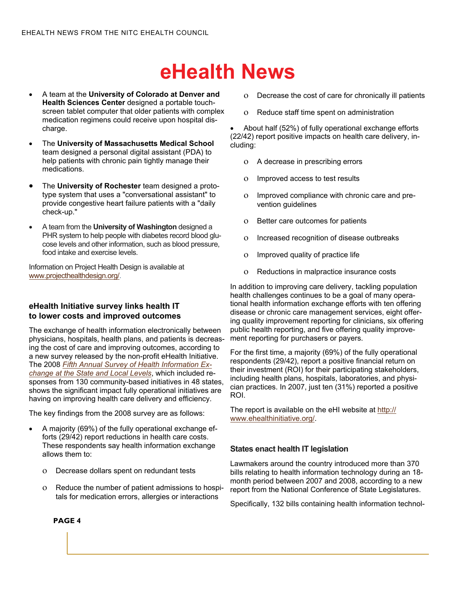- A team at the **University of Colorado at Denver and Health Sciences Center** designed a portable touchscreen tablet computer that older patients with complex medication regimens could receive upon hospital discharge.
- The **University of Massachusetts Medical School** team designed a personal digital assistant (PDA) to help patients with chronic pain tightly manage their medications.
- The **University of Rochester** team designed a prototype system that uses a "conversational assistant" to provide congestive heart failure patients with a "daily check-up."
- A team from the **University of Washington** designed a PHR system to help people with diabetes record blood glucose levels and other information, such as blood pressure, food intake and exercise levels.

Information on Project Health Design is available at [www.projecthealthdesign.org/](http://www.projecthealthdesign.org/).

#### **eHealth Initiative survey links health IT to lower costs and improved outcomes**

The exchange of health information electronically between physicians, hospitals, health plans, and patients is decreasing the cost of care and improving outcomes, according to a new survey released by the non-profit eHealth Initiative. The 2008 *[Fifth Annual Survey of Health Information Ex](http://www.ehealthinitiative.org/2007HIESurvey/2008KeyFindings.mspx)[change at the State and Local Levels](http://www.ehealthinitiative.org/2007HIESurvey/2008KeyFindings.mspx)*, which included responses from 130 community-based initiatives in 48 states, shows the significant impact fully operational initiatives are having on improving health care delivery and efficiency.

The key findings from the 2008 survey are as follows:

- A majority (69%) of the fully operational exchange efforts (29/42) report reductions in health care costs. These respondents say health information exchange allows them to:
	- ο Decrease dollars spent on redundant tests
	- ο Reduce the number of patient admissions to hospitals for medication errors, allergies or interactions
- ο Decrease the cost of care for chronically ill patients
- ο Reduce staff time spent on administration

• About half (52%) of fully operational exchange efforts (22/42) report positive impacts on health care delivery, including:

- ο A decrease in prescribing errors
- ο Improved access to test results
- ο Improved compliance with chronic care and prevention guidelines
- ο Better care outcomes for patients
- ο Increased recognition of disease outbreaks
- ο Improved quality of practice life
- ο Reductions in malpractice insurance costs

In addition to improving care delivery, tackling population health challenges continues to be a goal of many operational health information exchange efforts with ten offering disease or chronic care management services, eight offering quality improvement reporting for clinicians, six offering public health reporting, and five offering quality improvement reporting for purchasers or payers.

For the first time, a majority (69%) of the fully operational respondents (29/42), report a positive financial return on their investment (ROI) for their participating stakeholders, including health plans, hospitals, laboratories, and physician practices. In 2007, just ten (31%) reported a positive ROI.

The report is available on the eHI website at [http://](http://www.ehealthinitiative.org/2007HIESurvey/2008KeyFindings.mspx) [www.ehealthinitiative.org/](http://www.ehealthinitiative.org/2007HIESurvey/2008KeyFindings.mspx).

#### **States enact health IT legislation**

Lawmakers around the country introduced more than 370 bills relating to health information technology during an 18 month period between 2007 and 2008, according to a new report from the National Conference of State Legislatures.

Specifically, 132 bills containing health information technol-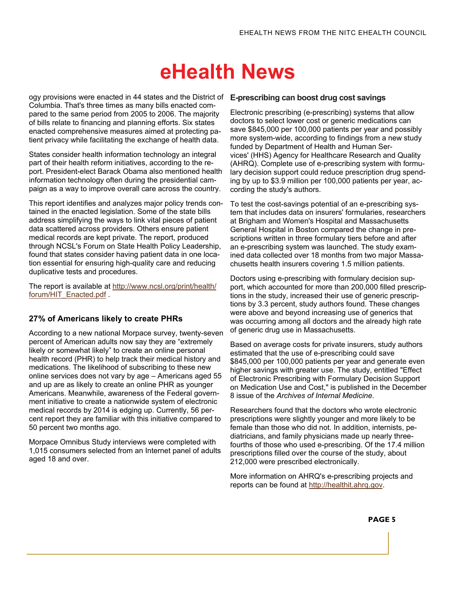ogy provisions were enacted in 44 states and the District of **E-prescribing can boost drug cost savings**  Columbia. That's three times as many bills enacted compared to the same period from 2005 to 2006. The majority of bills relate to financing and planning efforts. Six states enacted comprehensive measures aimed at protecting patient privacy while facilitating the exchange of health data.

States consider health information technology an integral part of their health reform initiatives, according to the report. President-elect Barack Obama also mentioned health information technology often during the presidential campaign as a way to improve overall care across the country.

This report identifies and analyzes major policy trends contained in the enacted legislation. Some of the state bills address simplifying the ways to link vital pieces of patient data scattered across providers. Others ensure patient medical records are kept private. The report, produced through NCSL's Forum on State Health Policy Leadership, found that states consider having patient data in one location essential for ensuring high-quality care and reducing duplicative tests and procedures.

The report is available at [http://www.ncsl.org/print/health/](http://www.ncsl.org/print/health/forum/HIT_Enacted.pdf) [forum/HIT\\_Enacted.pdf](http://www.ncsl.org/print/health/forum/HIT_Enacted.pdf) .

#### **27% of Americans likely to create PHRs**

According to a new national Morpace survey, twenty-seven percent of American adults now say they are "extremely likely or somewhat likely" to create an online personal health record (PHR) to help track their medical history and medications. The likelihood of subscribing to these new online services does not vary by age – Americans aged 55 and up are as likely to create an online PHR as younger Americans. Meanwhile, awareness of the Federal government initiative to create a nationwide system of electronic medical records by 2014 is edging up. Currently, 56 percent report they are familiar with this initiative compared to 50 percent two months ago.

Morpace Omnibus Study interviews were completed with 1,015 consumers selected from an Internet panel of adults aged 18 and over.

Electronic prescribing (e-prescribing) systems that allow doctors to select lower cost or generic medications can save \$845,000 per 100,000 patients per year and possibly more system-wide, according to findings from a new study funded by Department of Health and Human Services' (HHS) Agency for Healthcare Research and Quality (AHRQ). Complete use of e-prescribing system with formulary decision support could reduce prescription drug spending by up to \$3.9 million per 100,000 patients per year, according the study's authors.

To test the cost-savings potential of an e-prescribing system that includes data on insurers' formularies, researchers at Brigham and Women's Hospital and Massachusetts General Hospital in Boston compared the change in prescriptions written in three formulary tiers before and after an e-prescribing system was launched. The study examined data collected over 18 months from two major Massachusetts health insurers covering 1.5 million patients.

Doctors using e-prescribing with formulary decision support, which accounted for more than 200,000 filled prescriptions in the study, increased their use of generic prescriptions by 3.3 percent, study authors found. These changes were above and beyond increasing use of generics that was occurring among all doctors and the already high rate of generic drug use in Massachusetts.

Based on average costs for private insurers, study authors estimated that the use of e-prescribing could save \$845,000 per 100,000 patients per year and generate even higher savings with greater use. The study, entitled "Effect of Electronic Prescribing with Formulary Decision Support on Medication Use and Cost," is published in the December 8 issue of the *Archives of Internal Medicine*.

Researchers found that the doctors who wrote electronic prescriptions were slightly younger and more likely to be female than those who did not. In addition, internists, pediatricians, and family physicians made up nearly threefourths of those who used e-prescribing. Of the 17.4 million prescriptions filled over the course of the study, about 212,000 were prescribed electronically.

More information on AHRQ's e-prescribing projects and reports can be found at [http://healthit.ahrq.gov](http://healthit.ahrq.gov/).